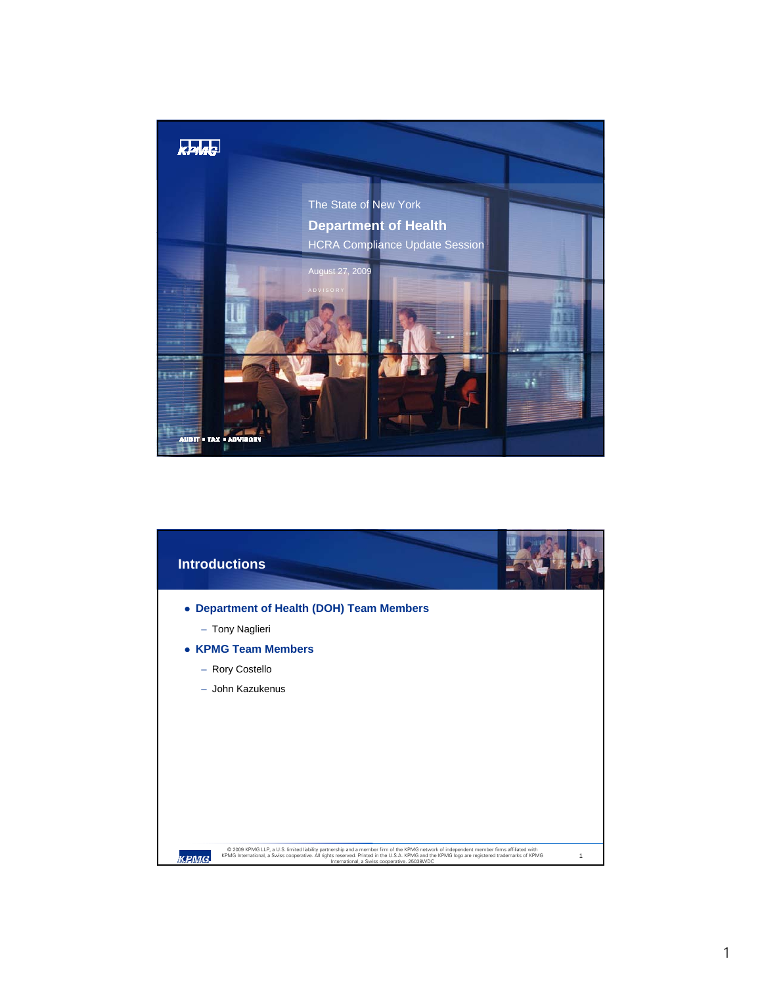

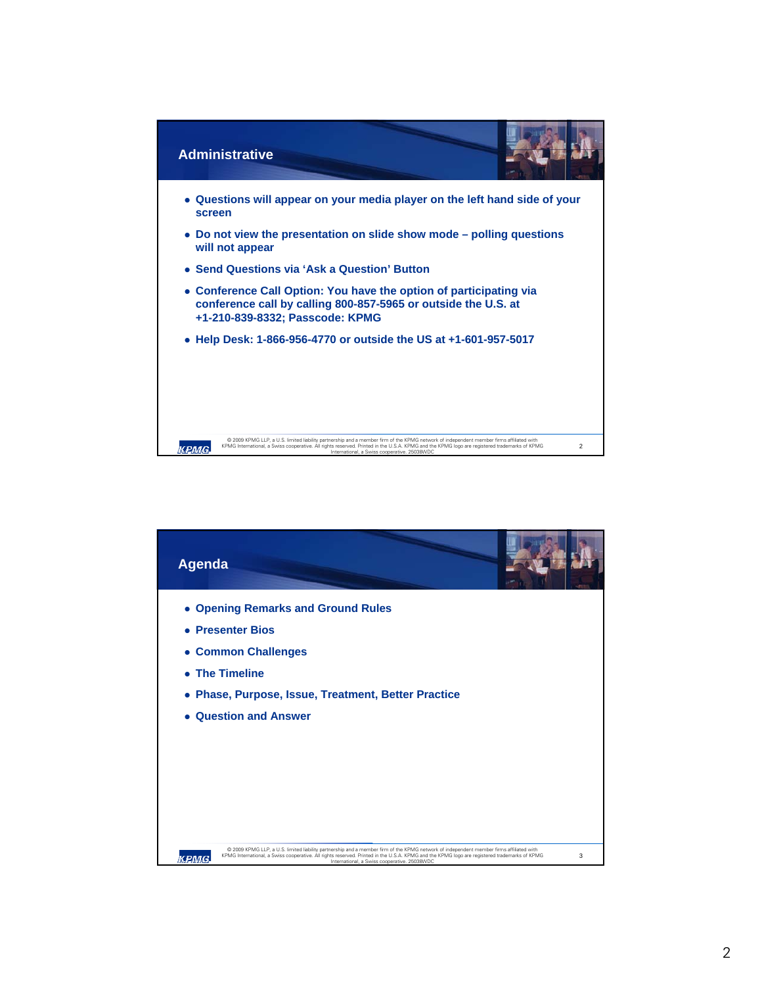

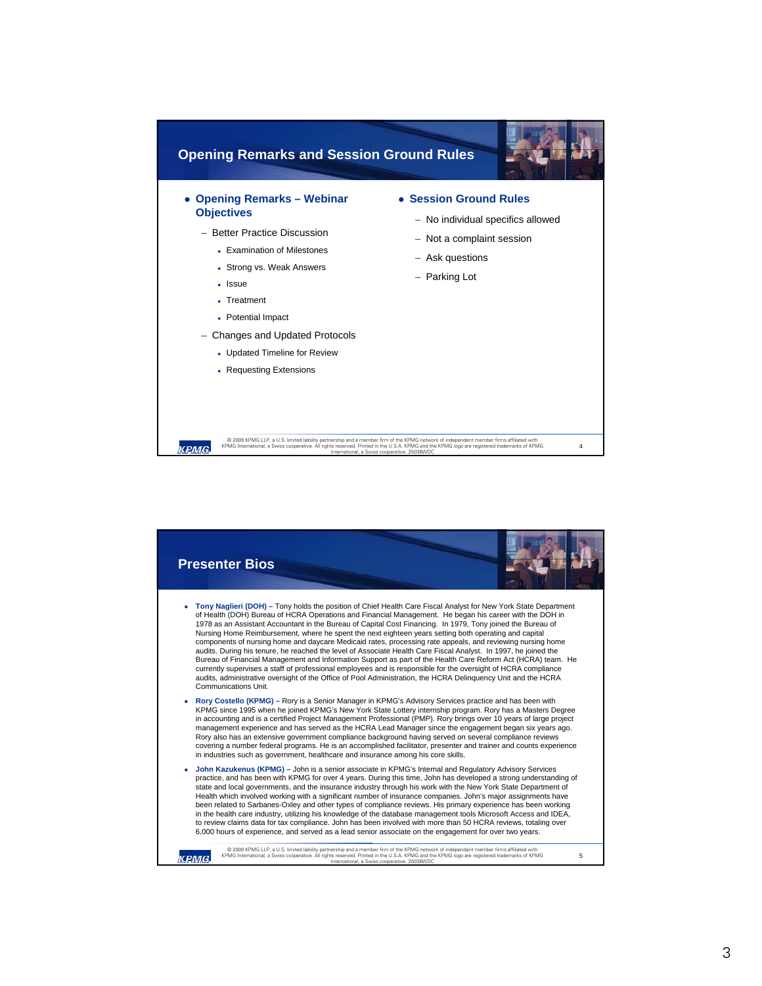

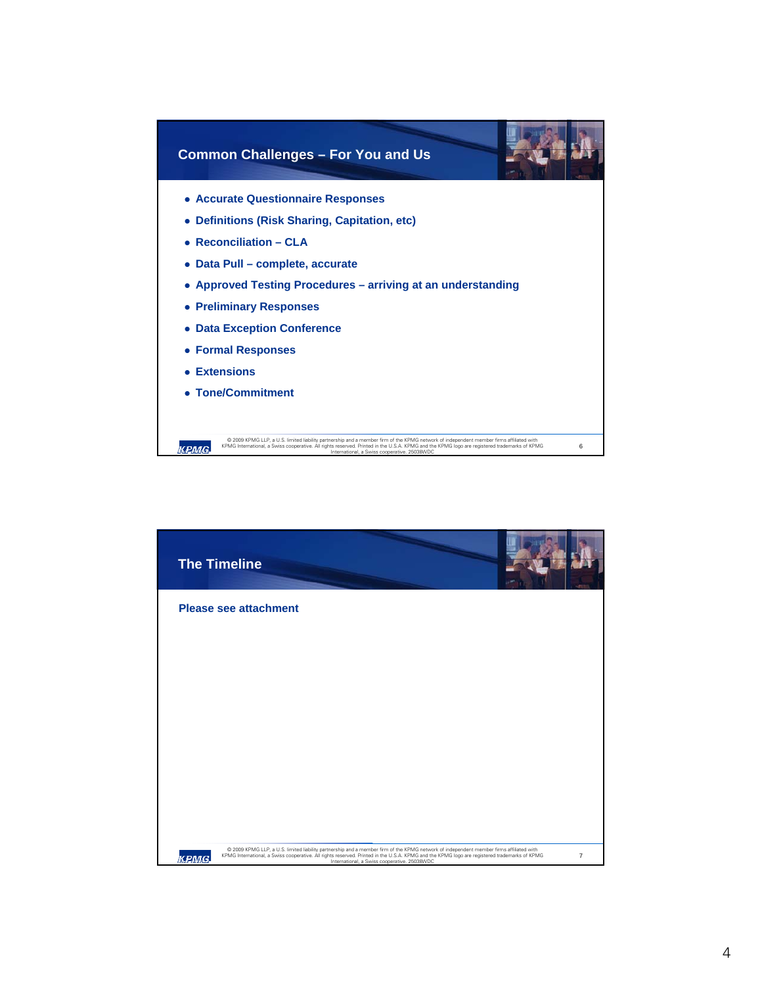

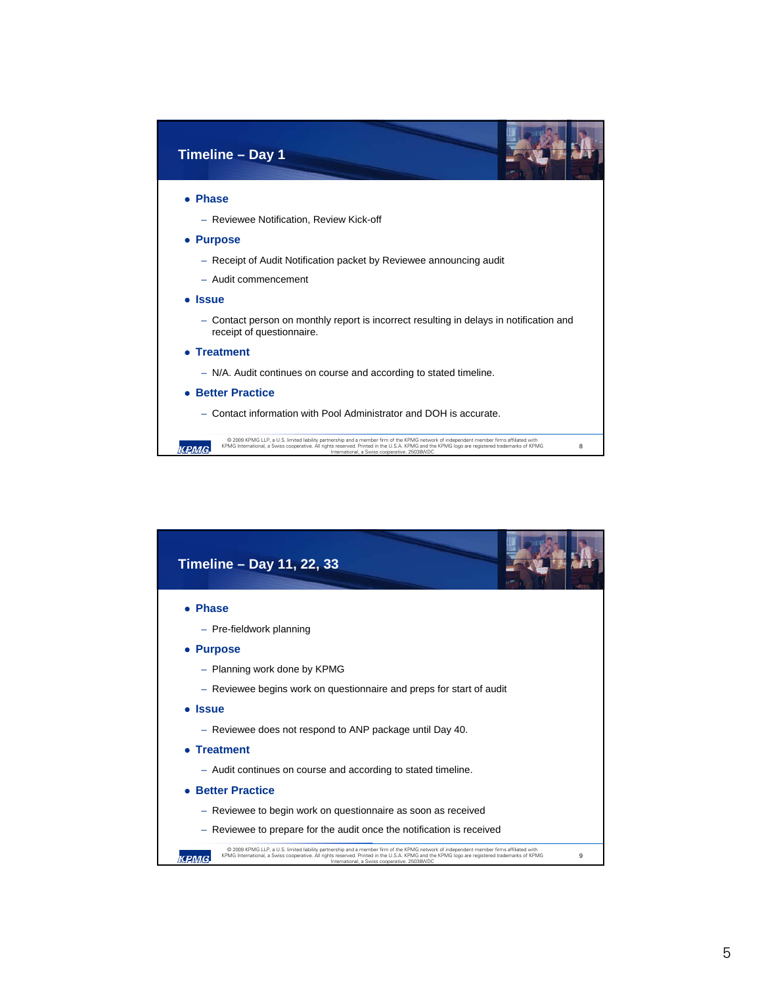

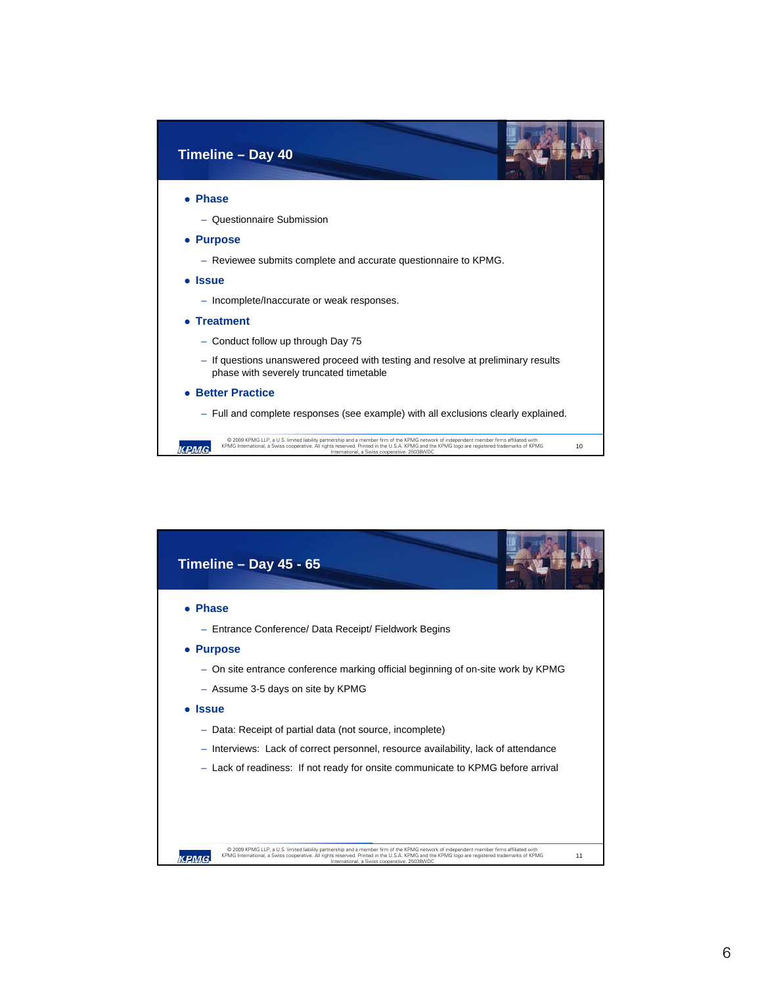

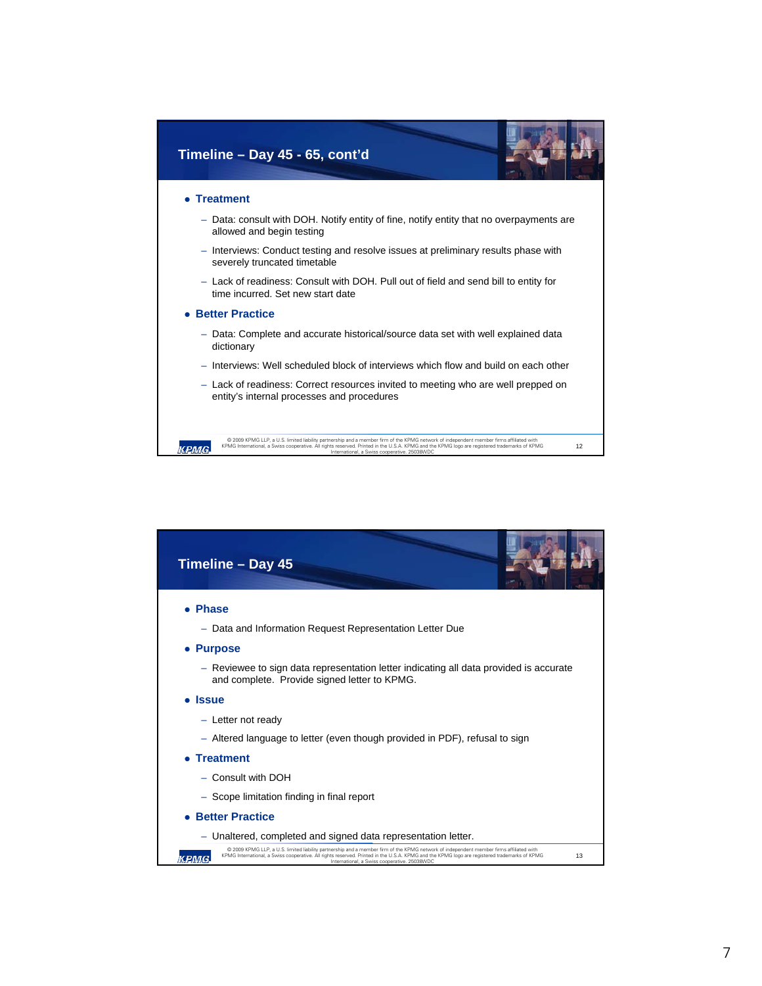

| Timeline - Day 45                                                                                                                                                                                                                                                                                                                             |
|-----------------------------------------------------------------------------------------------------------------------------------------------------------------------------------------------------------------------------------------------------------------------------------------------------------------------------------------------|
| <b>Phase</b>                                                                                                                                                                                                                                                                                                                                  |
| - Data and Information Request Representation Letter Due                                                                                                                                                                                                                                                                                      |
| • Purpose                                                                                                                                                                                                                                                                                                                                     |
| - Reviewee to sign data representation letter indicating all data provided is accurate<br>and complete. Provide signed letter to KPMG.                                                                                                                                                                                                        |
| <b>Issue</b>                                                                                                                                                                                                                                                                                                                                  |
| - Letter not ready                                                                                                                                                                                                                                                                                                                            |
| - Altered language to letter (even though provided in PDF), refusal to sign                                                                                                                                                                                                                                                                   |
| <b>Treatment</b>                                                                                                                                                                                                                                                                                                                              |
| - Consult with DOH                                                                                                                                                                                                                                                                                                                            |
| - Scope limitation finding in final report                                                                                                                                                                                                                                                                                                    |
| <b>Better Practice</b>                                                                                                                                                                                                                                                                                                                        |
| - Unaltered, completed and signed data representation letter.                                                                                                                                                                                                                                                                                 |
| @ 2009 KPMG LLP, a U.S. limited liability partnership and a member firm of the KPMG network of independent member firms affiliated with<br>KPMG International, a Swiss cooperative. All rights reserved. Printed in the U.S.A. KPMG and the KPMG logo are registered trademarks of KPMG<br>13<br>International, a Swiss cooperative. 25038WDC |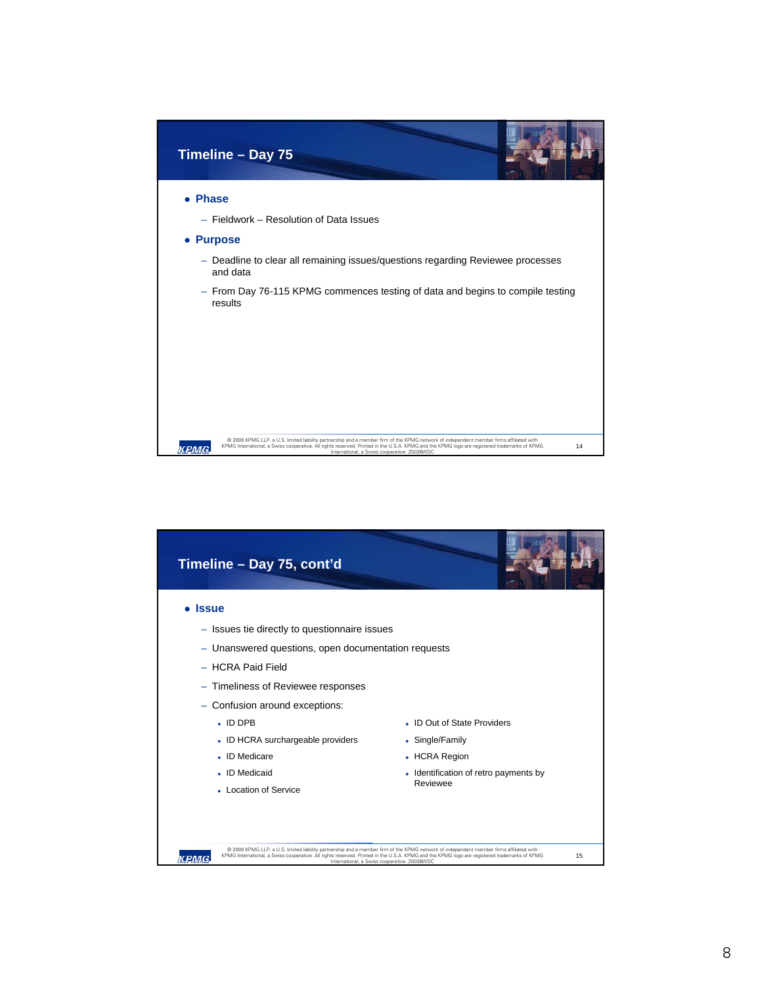

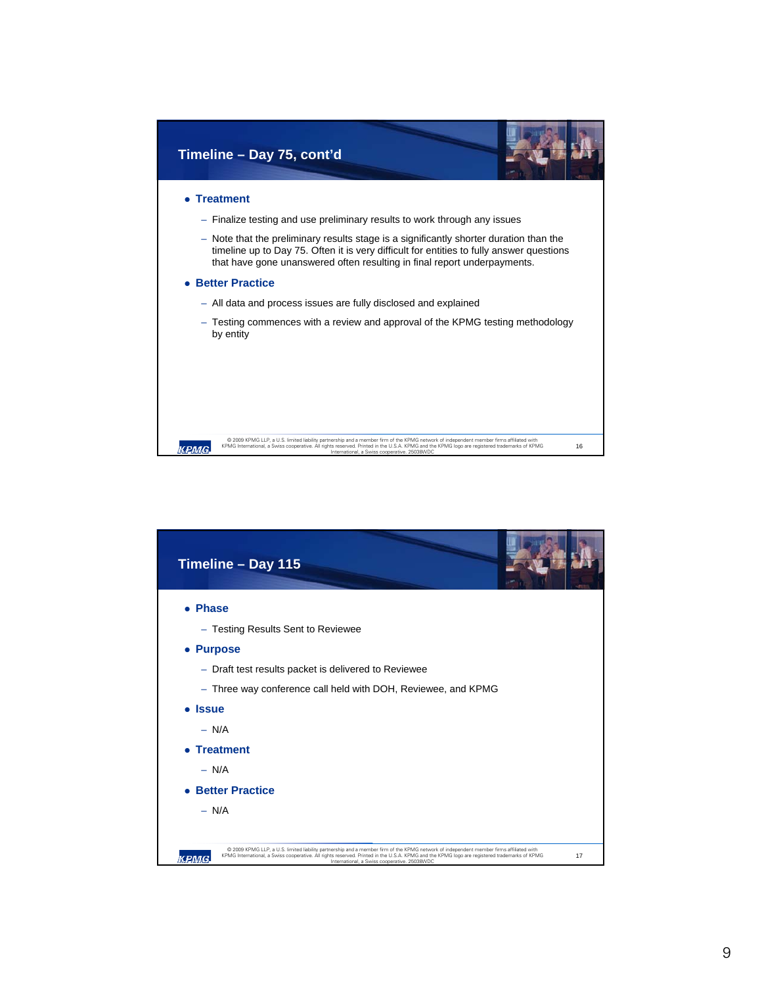

| Timeline - Day 115                                                                                                                                                                                                                                                                                                                              |    |
|-------------------------------------------------------------------------------------------------------------------------------------------------------------------------------------------------------------------------------------------------------------------------------------------------------------------------------------------------|----|
| • Phase                                                                                                                                                                                                                                                                                                                                         |    |
| - Testing Results Sent to Reviewee                                                                                                                                                                                                                                                                                                              |    |
| • Purpose                                                                                                                                                                                                                                                                                                                                       |    |
| - Draft test results packet is delivered to Reviewee                                                                                                                                                                                                                                                                                            |    |
| - Three way conference call held with DOH, Reviewee, and KPMG                                                                                                                                                                                                                                                                                   |    |
| • Issue                                                                                                                                                                                                                                                                                                                                         |    |
| $- N/A$                                                                                                                                                                                                                                                                                                                                         |    |
| • Treatment                                                                                                                                                                                                                                                                                                                                     |    |
| $- N/A$                                                                                                                                                                                                                                                                                                                                         |    |
| • Better Practice                                                                                                                                                                                                                                                                                                                               |    |
| $- N/A$                                                                                                                                                                                                                                                                                                                                         |    |
|                                                                                                                                                                                                                                                                                                                                                 |    |
| @ 2009 KPMG LLP, a U.S. limited liability partnership and a member firm of the KPMG network of independent member firms affiliated with<br>KPMG International, a Swiss cooperative. All rights reserved. Printed in the U.S.A. KPMG and the KPMG logo are registered trademarks of KPMG<br>кемв<br>International, a Swiss cooperative, 25038WDC | 17 |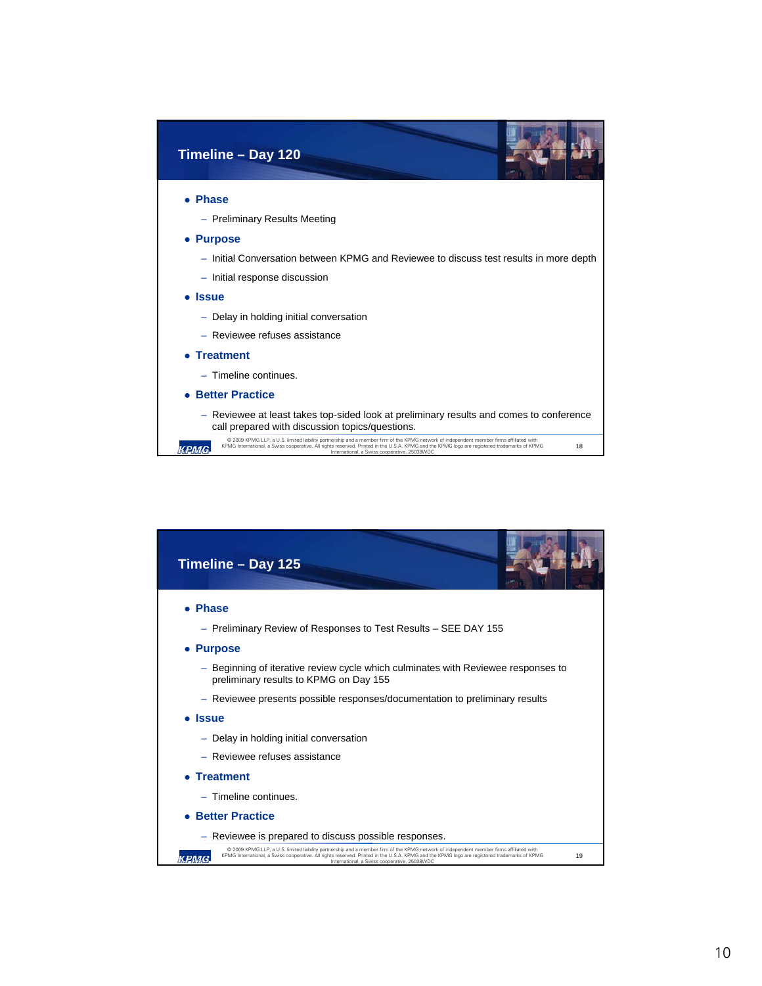

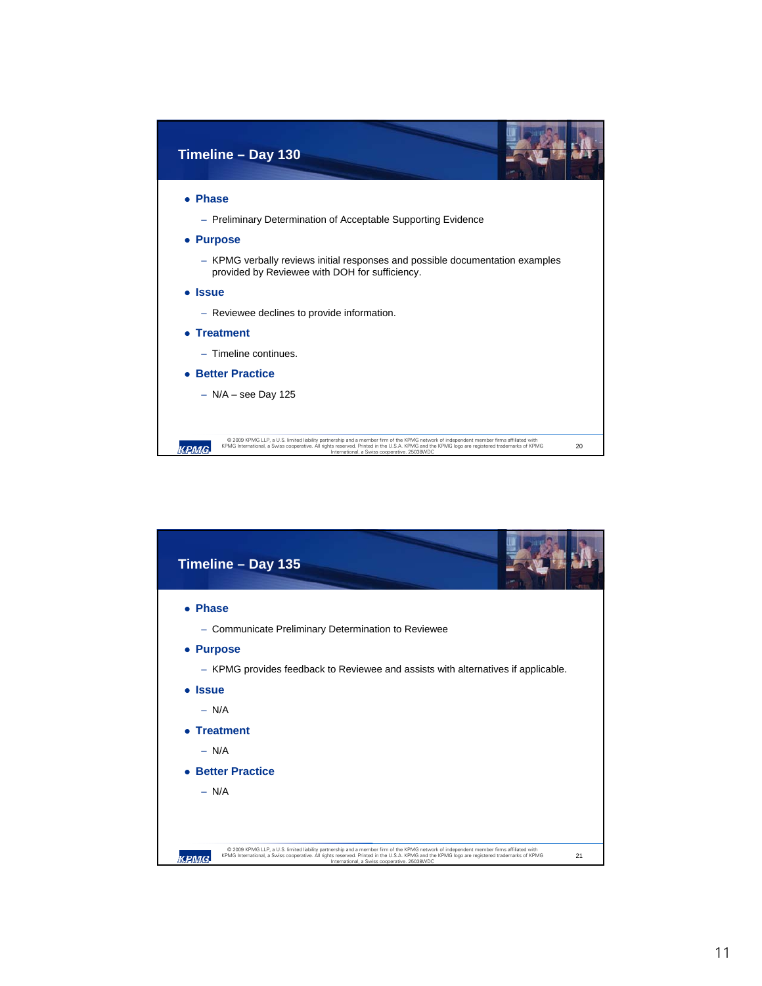

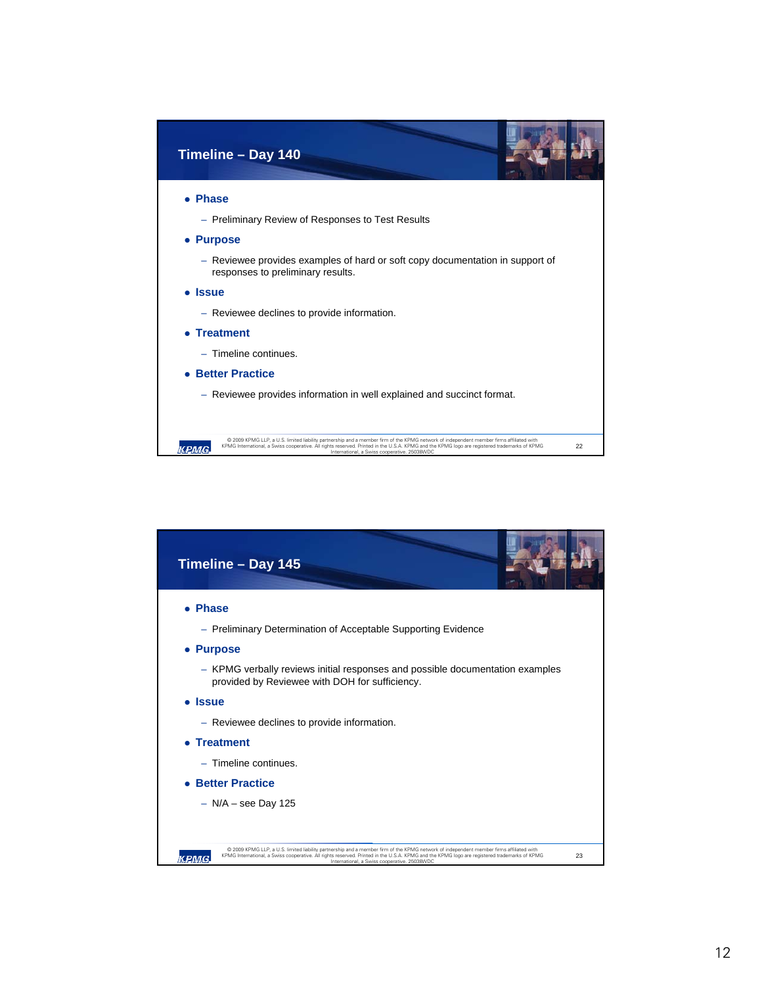

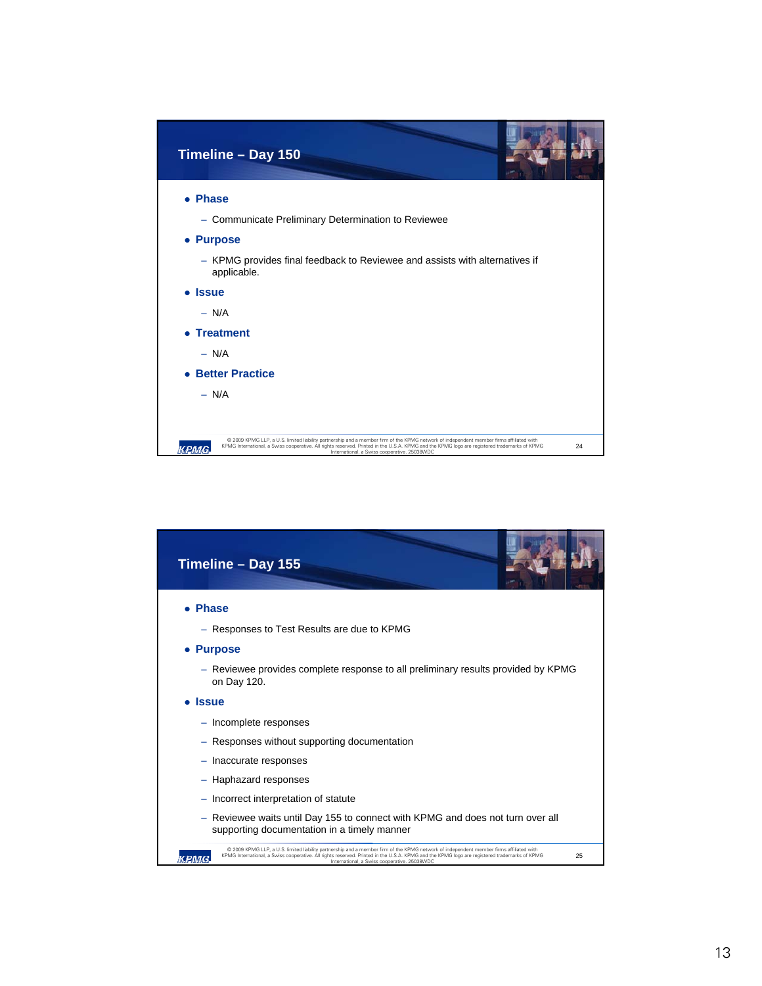

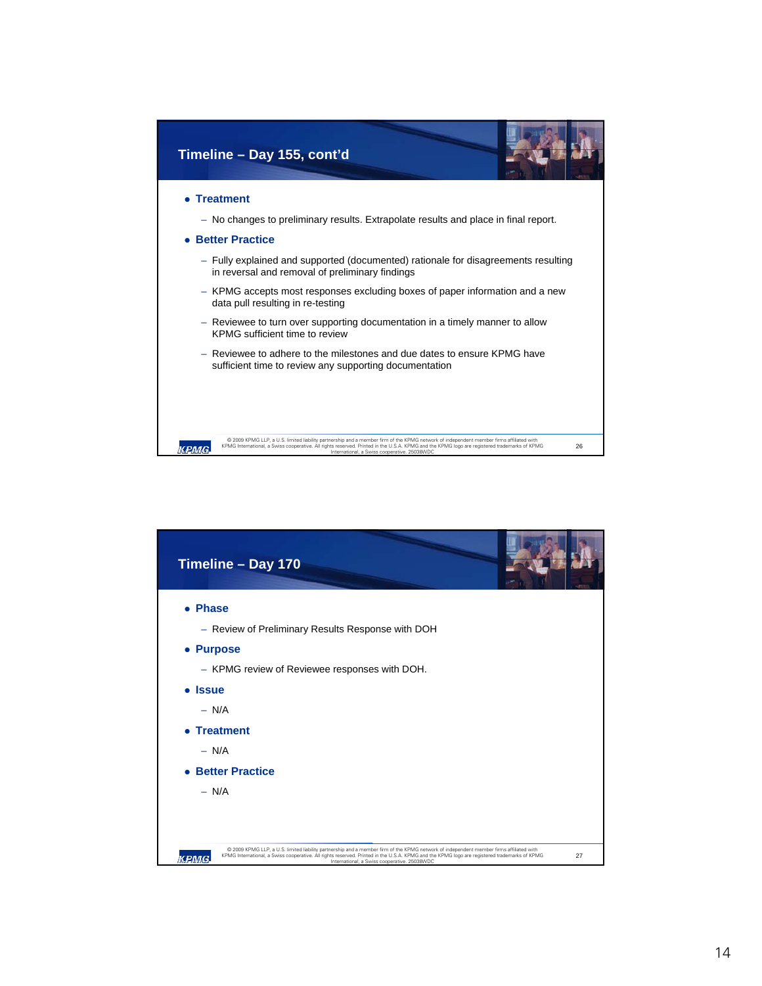

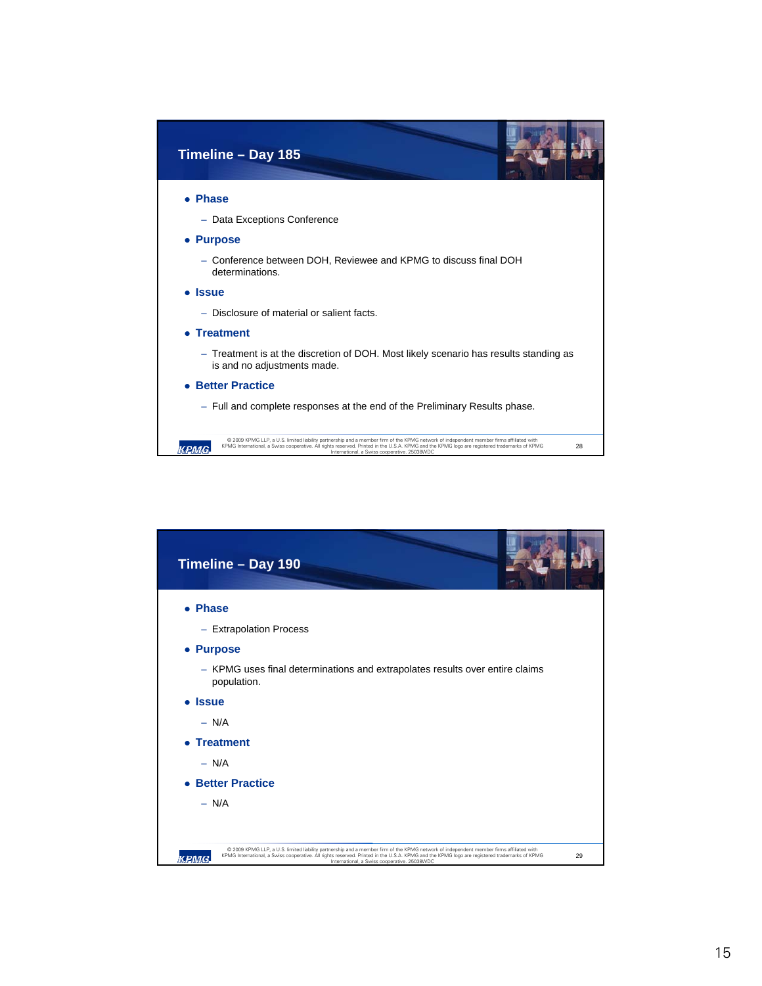

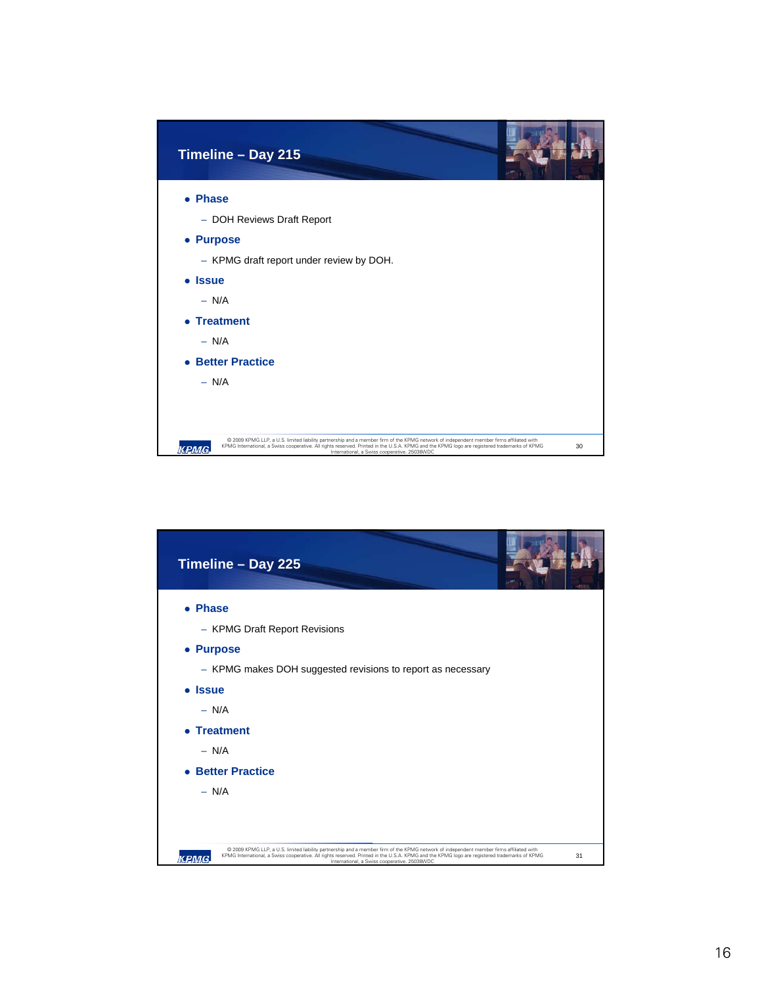| Timeline - Day 215                                                                                                                                                                                                                                                                                                                              |    |
|-------------------------------------------------------------------------------------------------------------------------------------------------------------------------------------------------------------------------------------------------------------------------------------------------------------------------------------------------|----|
| • Phase                                                                                                                                                                                                                                                                                                                                         |    |
| - DOH Reviews Draft Report                                                                                                                                                                                                                                                                                                                      |    |
| • Purpose                                                                                                                                                                                                                                                                                                                                       |    |
| - KPMG draft report under review by DOH.                                                                                                                                                                                                                                                                                                        |    |
| • Issue                                                                                                                                                                                                                                                                                                                                         |    |
| $- N/A$                                                                                                                                                                                                                                                                                                                                         |    |
| • Treatment                                                                                                                                                                                                                                                                                                                                     |    |
| $- N/A$                                                                                                                                                                                                                                                                                                                                         |    |
| • Better Practice                                                                                                                                                                                                                                                                                                                               |    |
| $- N/A$                                                                                                                                                                                                                                                                                                                                         |    |
|                                                                                                                                                                                                                                                                                                                                                 |    |
|                                                                                                                                                                                                                                                                                                                                                 |    |
| @ 2009 KPMG LLP, a U.S. limited liability partnership and a member firm of the KPMG network of independent member firms affiliated with<br>KPMG International, a Swiss cooperative. All rights reserved. Printed in the U.S.A. KPMG and the KPMG logo are registered trademarks of KPMG<br>кемс<br>International, a Swiss cooperative. 25038WDC | 30 |

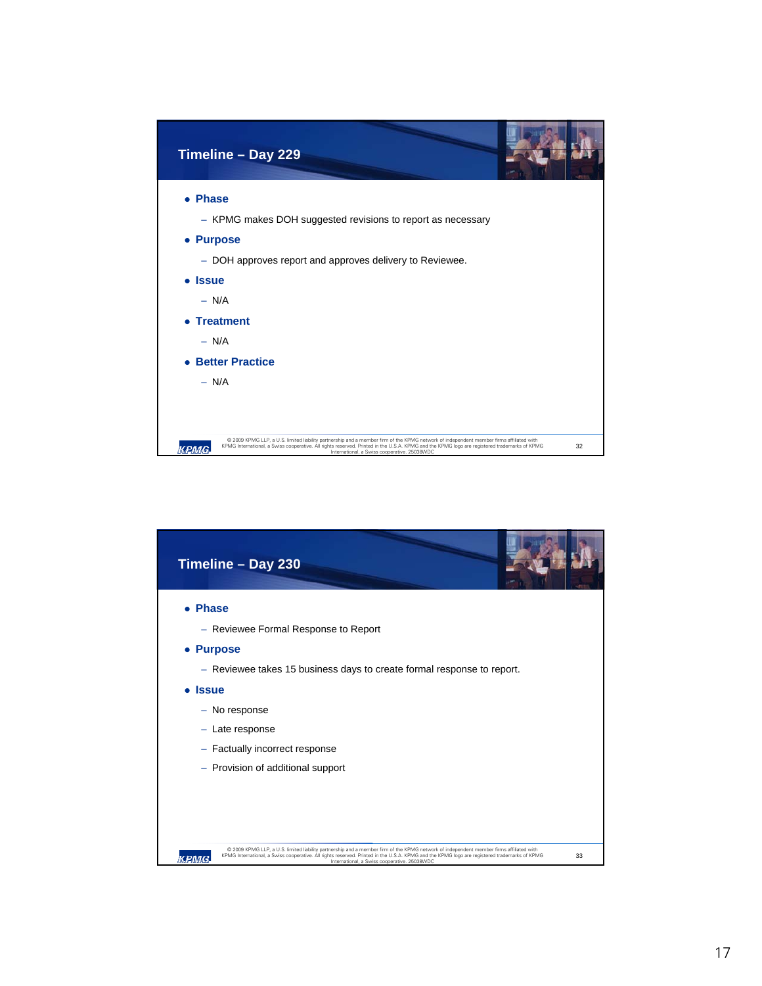

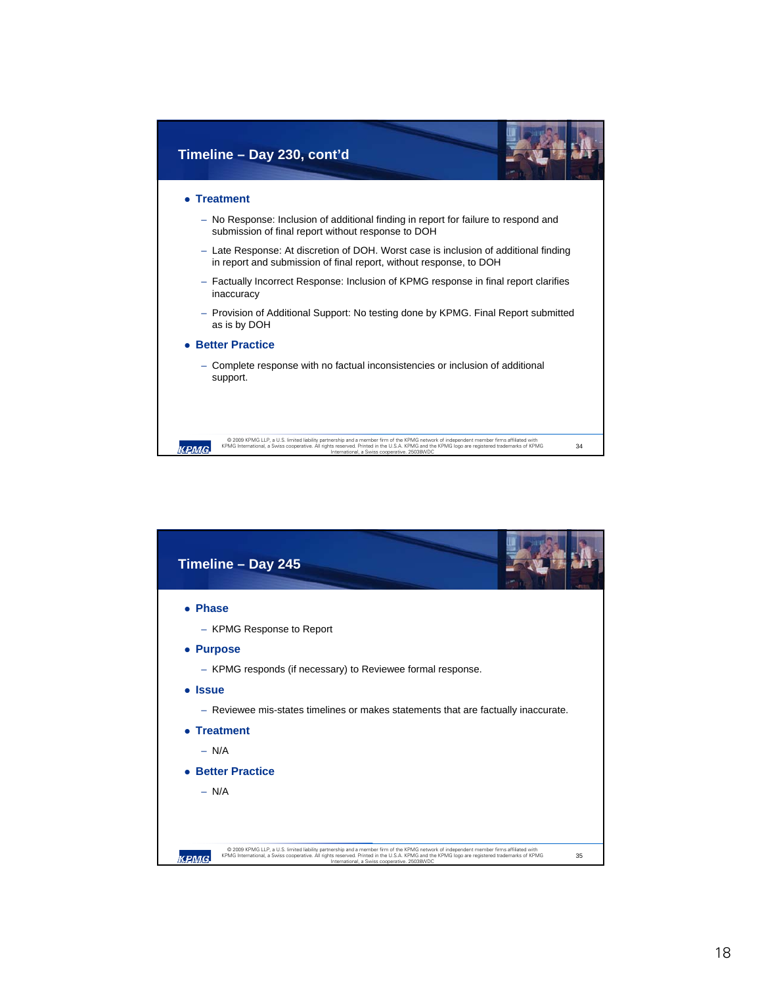

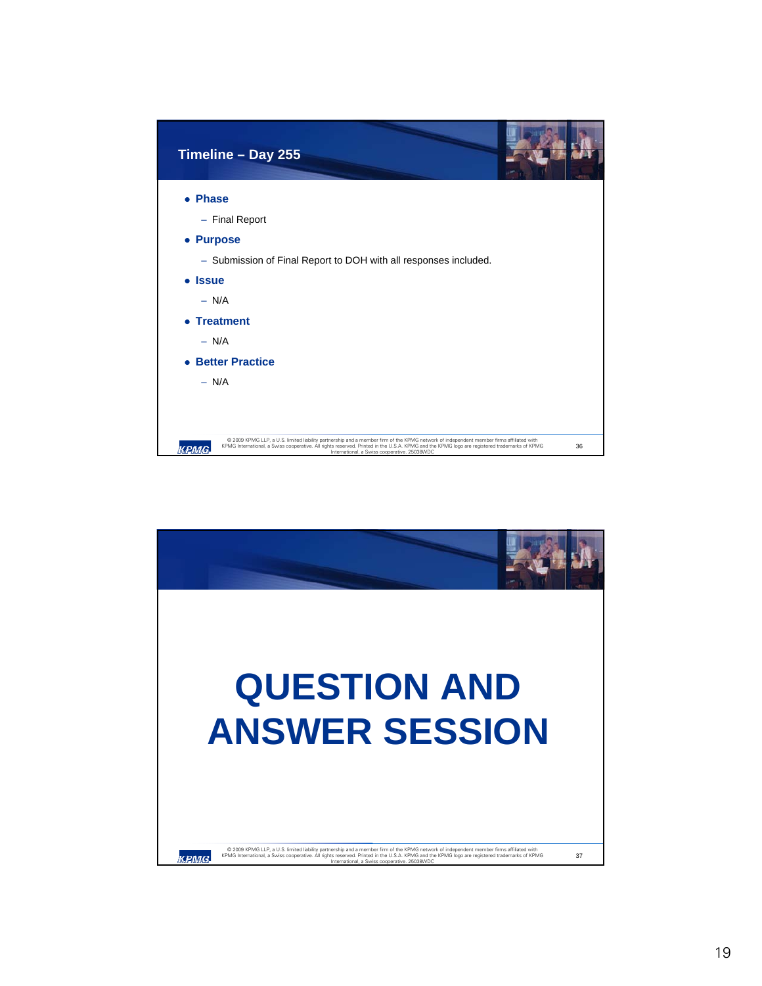| Timeline - Day 255                                                                                                                                                                                                                                                                                                                                    |
|-------------------------------------------------------------------------------------------------------------------------------------------------------------------------------------------------------------------------------------------------------------------------------------------------------------------------------------------------------|
| • Phase                                                                                                                                                                                                                                                                                                                                               |
| - Final Report                                                                                                                                                                                                                                                                                                                                        |
| • Purpose                                                                                                                                                                                                                                                                                                                                             |
| - Submission of Final Report to DOH with all responses included.                                                                                                                                                                                                                                                                                      |
| • Issue                                                                                                                                                                                                                                                                                                                                               |
| $- N/A$                                                                                                                                                                                                                                                                                                                                               |
| • Treatment                                                                                                                                                                                                                                                                                                                                           |
| $- N/A$                                                                                                                                                                                                                                                                                                                                               |
| <b>Better Practice</b><br>$\bullet$                                                                                                                                                                                                                                                                                                                   |
| $- N/A$                                                                                                                                                                                                                                                                                                                                               |
|                                                                                                                                                                                                                                                                                                                                                       |
| @ 2009 KPMG LLP, a U.S. limited liability partnership and a member firm of the KPMG network of independent member firms affiliated with<br>KPMG International, a Swiss cooperative. All rights reserved. Printed in the U.S.A. KPMG and the KPMG logo are registered trademarks of KPMG<br>36<br>кемс<br>International, a Swiss cooperative. 25038WDC |